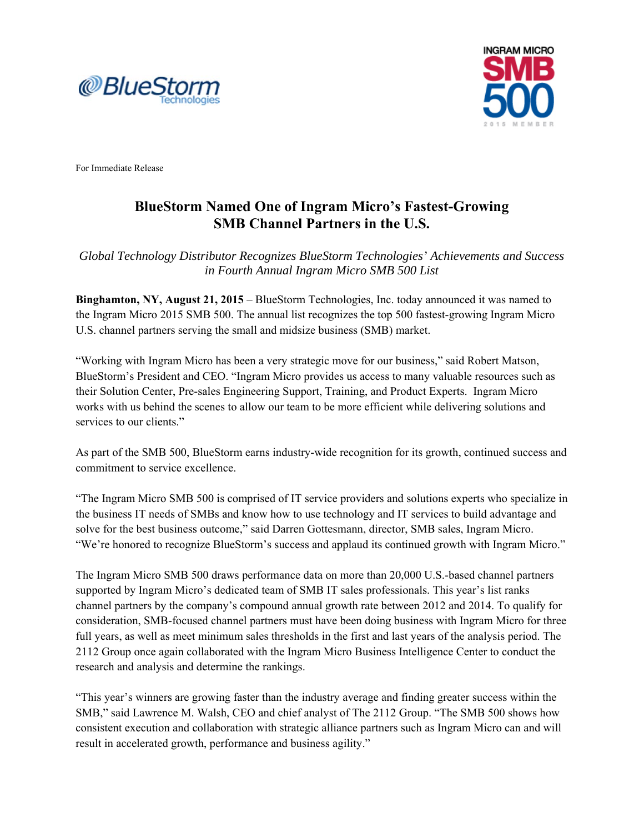



For Immediate Release

## **BlueStorm Named One of Ingram Micro's Fastest-Growing SMB Channel Partners in the U.S.**

*Global Technology Distributor Recognizes BlueStorm Technologies' Achievements and Success in Fourth Annual Ingram Micro SMB 500 List* 

**Binghamton, NY, August 21, 2015** – BlueStorm Technologies, Inc. today announced it was named to the Ingram Micro 2015 SMB 500. The annual list recognizes the top 500 fastest-growing Ingram Micro U.S. channel partners serving the small and midsize business (SMB) market.

"Working with Ingram Micro has been a very strategic move for our business," said Robert Matson, BlueStorm's President and CEO. "Ingram Micro provides us access to many valuable resources such as their Solution Center, Pre-sales Engineering Support, Training, and Product Experts. Ingram Micro works with us behind the scenes to allow our team to be more efficient while delivering solutions and services to our clients."

As part of the SMB 500, BlueStorm earns industry-wide recognition for its growth, continued success and commitment to service excellence.

"The Ingram Micro SMB 500 is comprised of IT service providers and solutions experts who specialize in the business IT needs of SMBs and know how to use technology and IT services to build advantage and solve for the best business outcome," said Darren Gottesmann, director, SMB sales, Ingram Micro. "We're honored to recognize BlueStorm's success and applaud its continued growth with Ingram Micro."

The Ingram Micro SMB 500 draws performance data on more than 20,000 U.S.-based channel partners supported by Ingram Micro's dedicated team of SMB IT sales professionals. This year's list ranks channel partners by the company's compound annual growth rate between 2012 and 2014. To qualify for consideration, SMB-focused channel partners must have been doing business with Ingram Micro for three full years, as well as meet minimum sales thresholds in the first and last years of the analysis period. The 2112 Group once again collaborated with the Ingram Micro Business Intelligence Center to conduct the research and analysis and determine the rankings.

"This year's winners are growing faster than the industry average and finding greater success within the SMB," said Lawrence M. Walsh, CEO and chief analyst of The 2112 Group. "The SMB 500 shows how consistent execution and collaboration with strategic alliance partners such as Ingram Micro can and will result in accelerated growth, performance and business agility."